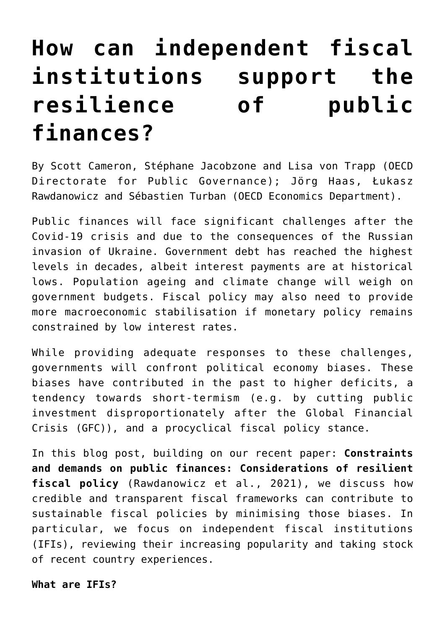# **[How can independent fiscal](https://oecdecoscope.blog/2022/04/14/how-can-independent-fiscal-institutions-support-the-resilience-of-public-finances/) [institutions support the](https://oecdecoscope.blog/2022/04/14/how-can-independent-fiscal-institutions-support-the-resilience-of-public-finances/) [resilience of public](https://oecdecoscope.blog/2022/04/14/how-can-independent-fiscal-institutions-support-the-resilience-of-public-finances/) [finances?](https://oecdecoscope.blog/2022/04/14/how-can-independent-fiscal-institutions-support-the-resilience-of-public-finances/)**

By Scott Cameron, Stéphane Jacobzone and Lisa von Trapp (OECD Directorate for Public Governance); Jörg Haas, Łukasz Rawdanowicz and Sébastien Turban (OECD Economics Department).

Public finances will face significant challenges after the Covid-19 crisis and due to the consequences of the Russian invasion of Ukraine. Government debt has reached the highest levels in decades, albeit interest payments are at historical lows. Population ageing and climate change will weigh on government budgets. Fiscal policy may also need to provide more macroeconomic stabilisation if monetary policy remains constrained by low interest rates.

While providing adequate responses to these challenges, governments will confront political economy biases. These biases have contributed in the past to higher deficits, a tendency towards short-termism (e.g. by cutting public investment disproportionately after the Global Financial Crisis (GFC)), and a procyclical fiscal policy stance.

In this blog post, building on our recent paper: **[Constraints](https://www.oecd-ilibrary.org/economics/constraints-and-demands-on-public-finances-considerations-of-resilient-fiscal-policy_602500be-en) [and demands on public finances: Considerations of resilient](https://www.oecd-ilibrary.org/economics/constraints-and-demands-on-public-finances-considerations-of-resilient-fiscal-policy_602500be-en) [fiscal policy](https://www.oecd-ilibrary.org/economics/constraints-and-demands-on-public-finances-considerations-of-resilient-fiscal-policy_602500be-en)** (Rawdanowicz et al., 2021), we discuss how credible and transparent fiscal frameworks can contribute to sustainable fiscal policies by minimising those biases. In particular, we focus on independent fiscal institutions (IFIs), reviewing their increasing popularity and taking stock of recent country experiences.

#### **What are IFIs?**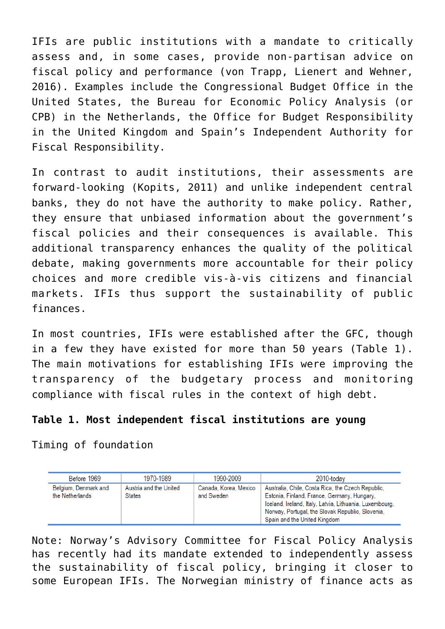IFIs are public institutions with a mandate to critically assess and, in some cases, provide non‑partisan advice on fiscal policy and performance (von Trapp, Lienert and Wehner, 2016). Examples include the Congressional Budget Office in the United States, the Bureau for Economic Policy Analysis (or CPB) in the Netherlands, the Office for Budget Responsibility in the United Kingdom and Spain's Independent Authority for Fiscal Responsibility.

In contrast to audit institutions, their assessments are forward-looking (Kopits, 2011) and unlike independent central banks, they do not have the authority to make policy. Rather, they ensure that unbiased information about the government's fiscal policies and their consequences is available. This additional transparency enhances the quality of the political debate, making governments more accountable for their policy choices and more credible vis‑à‑vis citizens and financial markets. IFIs thus support the sustainability of public finances.

In most countries, IFIs were established after the GFC, though in a few they have existed for more than 50 years (Table 1). The main motivations for establishing IFIs were improving the transparency of the budgetary process and monitoring compliance with fiscal rules in the context of high debt.

### **Table 1. Most independent fiscal institutions are young**

Timing of foundation

| Before 1969                             | 1970-1989                               | 1990-2009                           | 2010-today                                                                                                                                                                                                                                      |
|-----------------------------------------|-----------------------------------------|-------------------------------------|-------------------------------------------------------------------------------------------------------------------------------------------------------------------------------------------------------------------------------------------------|
| Belgium, Denmark and<br>the Netherlands | Austria and the United<br><b>States</b> | Canada, Korea, Mexico<br>and Sweden | Australia, Chile, Costa Rica, the Czech Republic,<br>Estonia, Finland, France, Germany, Hungary,<br>Iceland, Ireland, Italy, Latvia, Lithuania, Luxembourg,<br>Norway, Portugal, the Slovak Republic, Slovenia,<br>Spain and the United Kingdom |

Note: Norway's Advisory Committee for Fiscal Policy Analysis has recently had its mandate extended to independently assess the sustainability of fiscal policy, bringing it closer to some European IFIs. The Norwegian ministry of finance acts as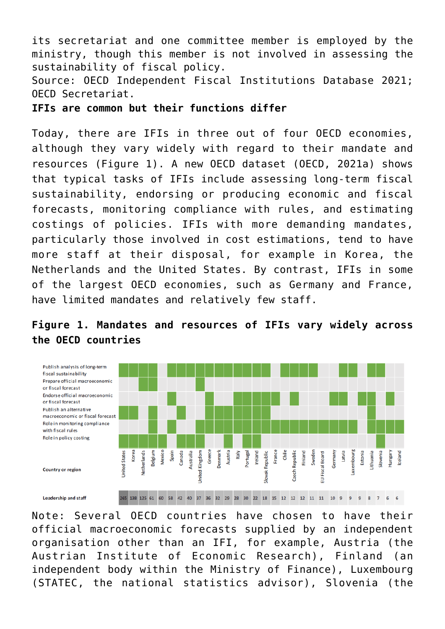its secretariat and one committee member is employed by the ministry, though this member is not involved in assessing the sustainability of fiscal policy.

Source: OECD Independent Fiscal Institutions Database 2021; OECD Secretariat.

**IFIs are common but their functions differ**

Today, there are IFIs in three out of four OECD economies, although they vary widely with regard to their mandate and resources (Figure 1). A new OECD [dataset](https://www.oecd.org/gov/budgeting/ifi-database.htm) (OECD, 2021a) shows that typical tasks of IFIs include assessing long-term fiscal sustainability, endorsing or producing economic and fiscal forecasts, monitoring compliance with rules, and estimating costings of policies. IFIs with more demanding mandates, particularly those involved in cost estimations, tend to have more staff at their disposal, for example in Korea, the Netherlands and the United States. By contrast, IFIs in some of the largest OECD economies, such as Germany and France, have limited mandates and relatively few staff.



## **Figure 1. Mandates and resources of IFIs vary widely across the OECD countries**

Note: Several OECD countries have chosen to have their official macroeconomic forecasts supplied by an independent organisation other than an IFI, for example, Austria (the Austrian Institute of Economic Research), Finland (an independent body within the Ministry of Finance), Luxembourg (STATEC, the national statistics advisor), Slovenia (the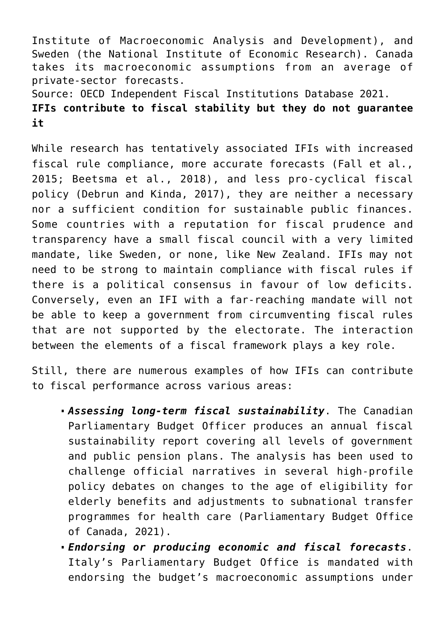Institute of Macroeconomic Analysis and Development), and Sweden (the National Institute of Economic Research). Canada takes its macroeconomic assumptions from an average of private-sector forecasts.

Source: OECD Independent Fiscal Institutions Database 2021.

# **IFIs contribute to fiscal stability but they do not guarantee it**

While research has tentatively associated IFIs with increased fiscal rule compliance, more accurate forecasts (Fall et al., 2015; Beetsma et al., 2018), and less pro-cyclical fiscal policy (Debrun and Kinda, 2017), they are neither a necessary nor a sufficient condition for sustainable public finances. Some countries with a reputation for fiscal prudence and transparency have a small fiscal council with a very limited mandate, like Sweden, or none, like New Zealand. IFIs may not need to be strong to maintain compliance with fiscal rules if there is a political consensus in favour of low deficits. Conversely, even an IFI with a far-reaching mandate will not be able to keep a government from circumventing fiscal rules that are not supported by the electorate. The interaction between the elements of a fiscal framework plays a key role.

Still, there are numerous examples of how IFIs can contribute to fiscal performance across various areas:

- *Assessing long-term fiscal sustainability*. The Canadian Parliamentary Budget Officer produces an annual fiscal sustainability report covering all levels of government and public pension plans. The analysis has been used to challenge official narratives in several high-profile policy debates on changes to the age of eligibility for elderly benefits and adjustments to subnational transfer programmes for health care (Parliamentary Budget Office of Canada, 2021).
- *Endorsing or producing economic and fiscal forecasts*. Italy's Parliamentary Budget Office is mandated with endorsing the budget's macroeconomic assumptions under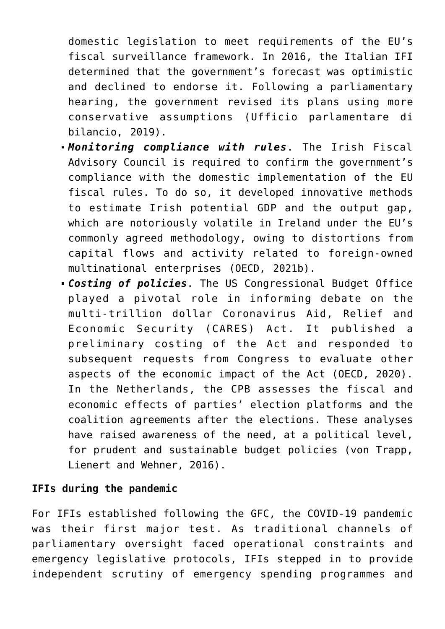domestic legislation to meet requirements of the EU's fiscal surveillance framework. In 2016, the Italian IFI determined that the government's forecast was optimistic and declined to endorse it. Following a parliamentary hearing, the government revised its plans using more conservative assumptions (Ufficio parlamentare di bilancio, 2019).

- *Monitoring compliance with rules*. The Irish Fiscal Advisory Council is required to confirm the government's compliance with the domestic implementation of the EU fiscal rules. To do so, it developed innovative methods to estimate Irish potential GDP and the output gap, which are notoriously volatile in Ireland under the EU's commonly agreed methodology, owing to distortions from capital flows and activity related to foreign-owned multinational enterprises (OECD, 2021b).
- *Costing of policies*. The US Congressional Budget Office played a pivotal role in informing debate on the multi‑trillion dollar Coronavirus Aid, Relief and Economic Security (CARES) Act. It published a preliminary costing of the Act and responded to subsequent requests from Congress to evaluate other aspects of the economic impact of the Act (OECD, 2020). In the Netherlands, the CPB assesses the fiscal and economic effects of parties' election platforms and the coalition agreements after the elections. These analyses have raised awareness of the need, at a political level, for prudent and sustainable budget policies (von Trapp, Lienert and Wehner, 2016).

#### **IFIs during the pandemic**

For IFIs established following the GFC, the COVID-19 pandemic was their first major test. As traditional channels of parliamentary oversight faced operational constraints and emergency legislative protocols, IFIs stepped in to provide independent scrutiny of emergency spending programmes and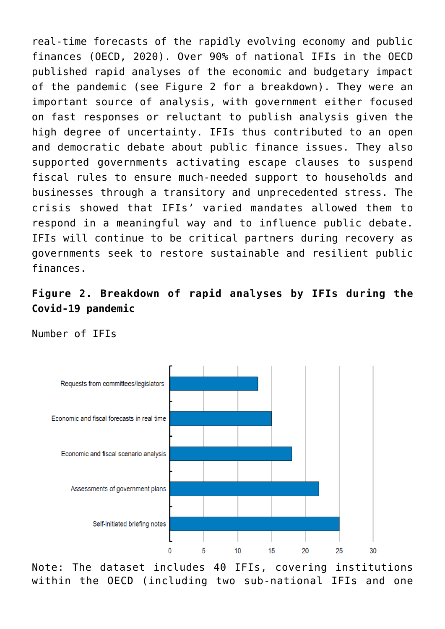real-time forecasts of the rapidly evolving economy and public finances (OECD, 2020). Over 90% of national IFIs in the OECD published rapid analyses of the economic and budgetary impact of the pandemic (see Figure 2 for a breakdown). They were an important source of analysis, with government either focused on fast responses or reluctant to publish analysis given the high degree of uncertainty. IFIs thus contributed to an open and democratic debate about public finance issues. They also supported governments activating escape clauses to suspend fiscal rules to ensure much-needed support to households and businesses through a transitory and unprecedented stress. The crisis showed that IFIs' varied mandates allowed them to respond in a meaningful way and to influence public debate. IFIs will continue to be critical partners during recovery as governments seek to restore sustainable and resilient public finances.

## **Figure 2. Breakdown of rapid analyses by IFIs during the Covid-19 pandemic**

Number of IFIs



Note: The dataset includes 40 IFIs, covering institutions within the OECD (including two sub-national IFIs and one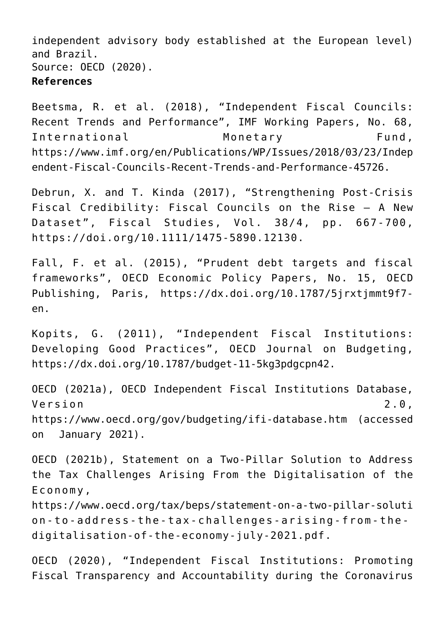independent advisory body established at the European level) and Brazil. Source: OECD (2020).

#### **References**

Beetsma, R. et al. (2018), "Independent Fiscal Councils: Recent Trends and Performance", IMF Working Papers, No. 68, International Monetary Fund, https://www.imf.org/en/Publications/WP/Issues/2018/03/23/Indep endent-Fiscal-Councils-Recent-Trends-and-Performance-45726.

Debrun, X. and T. Kinda (2017), "Strengthening Post-Crisis Fiscal Credibility: Fiscal Councils on the Rise – A New Dataset", Fiscal Studies, Vol. 38/4, pp. 667-700, <https://doi.org/10.1111/1475-5890.12130>.

Fall, F. et al. (2015), "Prudent debt targets and fiscal frameworks", OECD Economic Policy Papers, No. 15, OECD Publishing, Paris, [https://dx.doi.org/10.1787/5jrxtjmmt9f7](https://dx.doi.org/10.1787/5jrxtjmmt9f7-en) [en.](https://dx.doi.org/10.1787/5jrxtjmmt9f7-en)

Kopits, G. (2011), "Independent Fiscal Institutions: Developing Good Practices", OECD Journal on Budgeting, [https://dx.doi.org/10.1787/budget-11-5kg3pdgcpn42.](https://dx.doi.org/10.1787/budget-11-5kg3pdgcpn42)

OECD (2021a), OECD Independent Fiscal Institutions Database, Version 2.0, <https://www.oecd.org/gov/budgeting/ifi-database.htm> (accessed on January 2021).

OECD (2021b), Statement on a Two-Pillar Solution to Address the Tax Challenges Arising From the Digitalisation of the Economy,

[https://www.oecd.org/tax/beps/statement-on-a-two-pillar-soluti](https://www.oecd.org/tax/beps/statement-on-a-two-pillar-solution-to-address-the-tax-challenges-arising-from-the-digitalisation-of-the-economy-july-2021.pdf) [on-to-address-the-tax-challenges-arising-from-the](https://www.oecd.org/tax/beps/statement-on-a-two-pillar-solution-to-address-the-tax-challenges-arising-from-the-digitalisation-of-the-economy-july-2021.pdf)[digitalisation-of-the-economy-july-2021.pdf.](https://www.oecd.org/tax/beps/statement-on-a-two-pillar-solution-to-address-the-tax-challenges-arising-from-the-digitalisation-of-the-economy-july-2021.pdf)

OECD (2020), "Independent Fiscal Institutions: Promoting Fiscal Transparency and Accountability during the Coronavirus